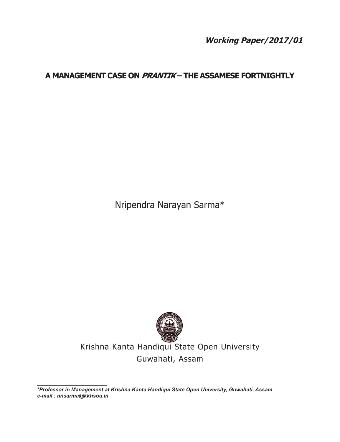**Working Paper/2017/01**

# **A Management Case on Prantik – The Assamese Fortnightly**

Nripendra Narayan Sarma\*



Krishna Kanta Handiqui State Open University Guwahati, Assam

*\*Professor in Management at Krishna Kanta Handiqui State Open University, Guwahati, Assam e-mail : nnsarma@kkhsou.in*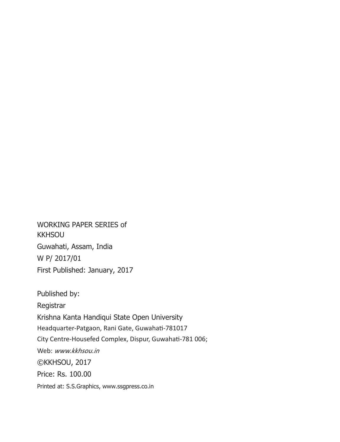WORKING PAPER SERIES of **KKHSOU** Guwahati, Assam, India W P/ 2017/01 First Published: January, 2017

Published by: Registrar Krishna Kanta Handiqui State Open University Headquarter-Patgaon, Rani Gate, Guwahati-781017 City Centre-Housefed Complex, Dispur, Guwahati-781 006; Web: www.kkhsou.in ©KKHSOU, 2017 Price: Rs. 100.00 Printed at: S.S.Graphics, www.ssgpress.co.in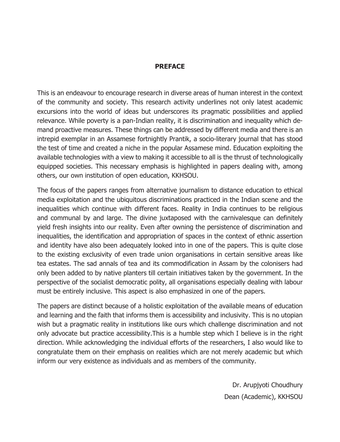#### **Preface**

This is an endeavour to encourage research in diverse areas of human interest in the context of the community and society. This research activity underlines not only latest academic excursions into the world of ideas but underscores its pragmatic possibilities and applied relevance. While poverty is a pan-Indian reality, it is discrimination and inequality which demand proactive measures. These things can be addressed by different media and there is an intrepid exemplar in an Assamese fortnightly Prantik, a socio-literary journal that has stood the test of time and created a niche in the popular Assamese mind. Education exploiting the available technologies with a view to making it accessible to all is the thrust of technologically equipped societies. This necessary emphasis is highlighted in papers dealing with, among others, our own institution of open education, KKHSOU.

The focus of the papers ranges from alternative journalism to distance education to ethical media exploitation and the ubiquitous discriminations practiced in the Indian scene and the inequalities which continue with different faces. Reality in India continues to be religious and communal by and large. The divine juxtaposed with the carnivalesque can definitely yield fresh insights into our reality. Even after owning the persistence of discrimination and inequalities, the identification and appropriation of spaces in the context of ethnic assertion and identity have also been adequately looked into in one of the papers. This is quite close to the existing exclusivity of even trade union organisations in certain sensitive areas like tea estates. The sad annals of tea and its commodification in Assam by the colonisers had only been added to by native planters till certain initiatives taken by the government. In the perspective of the socialist democratic polity, all organisations especially dealing with labour must be entirely inclusive. This aspect is also emphasized in one of the papers.

The papers are distinct because of a holistic exploitation of the available means of education and learning and the faith that informs them is accessibility and inclusivity. This is no utopian wish but a pragmatic reality in institutions like ours which challenge discrimination and not only advocate but practice accessibility.This is a humble step which I believe is in the right direction. While acknowledging the individual efforts of the researchers, I also would like to congratulate them on their emphasis on realities which are not merely academic but which inform our very existence as individuals and as members of the community.

> Dr. Arupjyoti Choudhury Dean (Academic), KKHSOU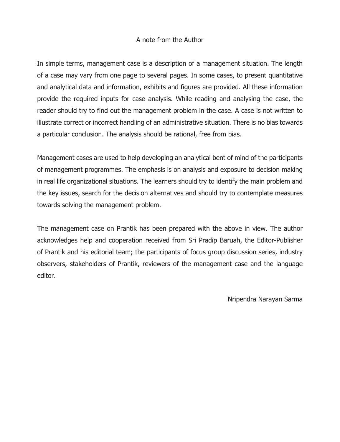#### A note from the Author

In simple terms, management case is a description of a management situation. The length of a case may vary from one page to several pages. In some cases, to present quantitative and analytical data and information, exhibits and figures are provided. All these information provide the required inputs for case analysis. While reading and analysing the case, the reader should try to find out the management problem in the case. A case is not written to illustrate correct or incorrect handling of an administrative situation. There is no bias towards a particular conclusion. The analysis should be rational, free from bias.

Management cases are used to help developing an analytical bent of mind of the participants of management programmes. The emphasis is on analysis and exposure to decision making in real life organizational situations. The learners should try to identify the main problem and the key issues, search for the decision alternatives and should try to contemplate measures towards solving the management problem.

The management case on Prantik has been prepared with the above in view. The author acknowledges help and cooperation received from Sri Pradip Baruah, the Editor-Publisher of Prantik and his editorial team; the participants of focus group discussion series, industry observers, stakeholders of Prantik, reviewers of the management case and the language editor.

Nripendra Narayan Sarma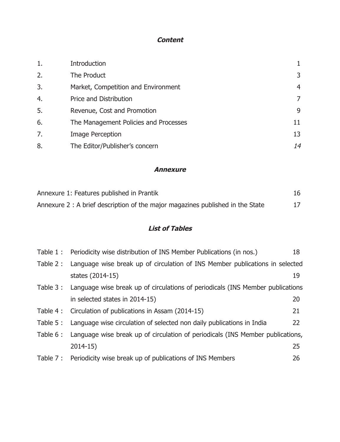## **Content**

| 1. | Introduction                          |    |
|----|---------------------------------------|----|
| 2. | The Product                           | 3  |
| 3. | Market, Competition and Environment   | 4  |
| 4. | Price and Distribution                | 7  |
| 5. | Revenue, Cost and Promotion           | 9  |
| 6. | The Management Policies and Processes | 11 |
| 7. | Image Perception                      | 13 |
| 8. | The Editor/Publisher's concern        | 14 |

#### **Annexure**

| Annexure 1: Features published in Prantik                                      | 16 |
|--------------------------------------------------------------------------------|----|
| Annexure 2 : A brief description of the major magazines published in the State | 17 |

## **List of Tables**

| Table 1 : | Periodicity wise distribution of INS Member Publications (in nos.)                      | 18 |
|-----------|-----------------------------------------------------------------------------------------|----|
| Table 2 : | Language wise break up of circulation of INS Member publications in selected            |    |
|           | states (2014-15)                                                                        | 19 |
|           | Table 3: Language wise break up of circulations of periodicals (INS Member publications |    |
|           | in selected states in 2014-15)                                                          | 20 |
|           | Table 4: Circulation of publications in Assam (2014-15)                                 | 21 |
| Table 5 : | Language wise circulation of selected non daily publications in India                   | 22 |
|           | Table 6: Language wise break up of circulation of periodicals (INS Member publications, |    |
|           | $2014-15)$                                                                              | 25 |
|           | Table 7: Periodicity wise break up of publications of INS Members                       | 26 |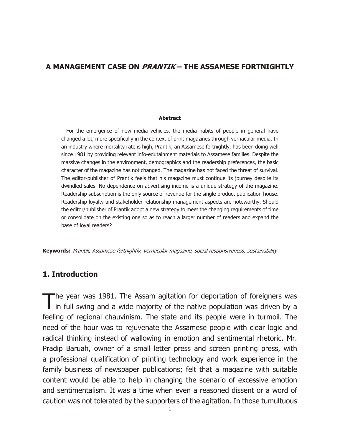#### **A Management Case on Prantik – The Assamese Fortnightly**

#### **Abstract**

For the emergence of new media vehicles, the media habits of people in general have changed a lot, more specifically in the context of print magazines through vernacular media. In an industry where mortality rate is high, Prantik, an Assamese fortnightly, has been doing well since 1981 by providing relevant info-edutainment materials to Assamese families. Despite the massive changes in the environment, demographics and the readership preferences, the basic character of the magazine has not changed. The magazine has not faced the threat of survival. The editor-publisher of Prantik feels that his magazine must continue its journey despite its dwindled sales. No dependence on advertising income is a unique strategy of the magazine. Readership subscription is the only source of revenue for the single product publication house. Readership loyalty and stakeholder relationship management aspects are noteworthy. Should the editor/publisher of Prantik adopt a new strategy to meet the changing requirements of time or consolidate on the existing one so as to reach a larger number of readers and expand the base of loyal readers?

**Keywords:** Prantik, Assamese fortnightly, vernacular magazine, social responsiveness, sustainability

### **1. Introduction**

The year was 1981. The Assam agitation for deportation of foreigners was  $\mathbb I$  in full swing and a wide majority of the native population was driven by a feeling of regional chauvinism. The state and its people were in turmoil. The need of the hour was to rejuvenate the Assamese people with clear logic and radical thinking instead of wallowing in emotion and sentimental rhetoric. Mr. Pradip Baruah, owner of a small letter press and screen printing press, with a professional qualification of printing technology and work experience in the family business of newspaper publications; felt that a magazine with suitable content would be able to help in changing the scenario of excessive emotion and sentimentalism. It was a time when even a reasoned dissent or a word of caution was not tolerated by the supporters of the agitation. In those tumultuous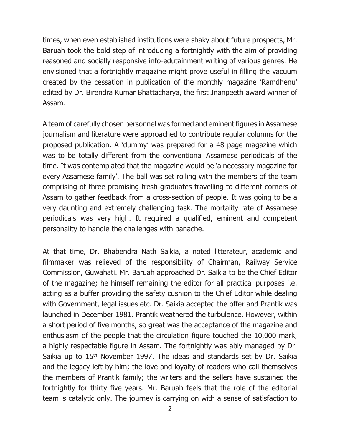times, when even established institutions were shaky about future prospects, Mr. Baruah took the bold step of introducing a fortnightly with the aim of providing reasoned and socially responsive info-edutainment writing of various genres. He envisioned that a fortnightly magazine might prove useful in filling the vacuum created by the cessation in publication of the monthly magazine 'Ramdhenu' edited by Dr. Birendra Kumar Bhattacharya, the first Jnanpeeth award winner of Assam.

A team of carefully chosen personnel was formed and eminent figures in Assamese journalism and literature were approached to contribute regular columns for the proposed publication. A 'dummy' was prepared for a 48 page magazine which was to be totally different from the conventional Assamese periodicals of the time. It was contemplated that the magazine would be 'a necessary magazine for every Assamese family'. The ball was set rolling with the members of the team comprising of three promising fresh graduates travelling to different corners of Assam to gather feedback from a cross-section of people. It was going to be a very daunting and extremely challenging task. The mortality rate of Assamese periodicals was very high. It required a qualified, eminent and competent personality to handle the challenges with panache.

At that time, Dr. Bhabendra Nath Saikia, a noted litterateur, academic and filmmaker was relieved of the responsibility of Chairman, Railway Service Commission, Guwahati. Mr. Baruah approached Dr. Saikia to be the Chief Editor of the magazine; he himself remaining the editor for all practical purposes i.e. acting as a buffer providing the safety cushion to the Chief Editor while dealing with Government, legal issues etc. Dr. Saikia accepted the offer and Prantik was launched in December 1981. Prantik weathered the turbulence. However, within a short period of five months, so great was the acceptance of the magazine and enthusiasm of the people that the circulation figure touched the 10,000 mark, a highly respectable figure in Assam. The fortnightly was ably managed by Dr. Saikia up to  $15<sup>th</sup>$  November 1997. The ideas and standards set by Dr. Saikia and the legacy left by him; the love and loyalty of readers who call themselves the members of Prantik family; the writers and the sellers have sustained the fortnightly for thirty five years. Mr. Baruah feels that the role of the editorial team is catalytic only. The journey is carrying on with a sense of satisfaction to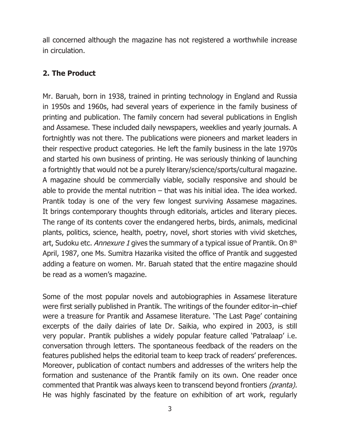all concerned although the magazine has not registered a worthwhile increase in circulation.

## **2. The Product**

Mr. Baruah, born in 1938, trained in printing technology in England and Russia in 1950s and 1960s, had several years of experience in the family business of printing and publication. The family concern had several publications in English and Assamese. These included daily newspapers, weeklies and yearly journals. A fortnightly was not there. The publications were pioneers and market leaders in their respective product categories. He left the family business in the late 1970s and started his own business of printing. He was seriously thinking of launching a fortnightly that would not be a purely literary/science/sports/cultural magazine. A magazine should be commercially viable, socially responsive and should be able to provide the mental nutrition  $-$  that was his initial idea. The idea worked. Prantik today is one of the very few longest surviving Assamese magazines. It brings contemporary thoughts through editorials, articles and literary pieces. The range of its contents cover the endangered herbs, birds, animals, medicinal plants, politics, science, health, poetry, novel, short stories with vivid sketches, art, Sudoku etc. Annexure 1 gives the summary of a typical issue of Prantik. On  $8<sup>th</sup>$ April, 1987, one Ms. Sumitra Hazarika visited the office of Prantik and suggested adding a feature on women. Mr. Baruah stated that the entire magazine should be read as a women's magazine.

Some of the most popular novels and autobiographies in Assamese literature were first serially published in Prantik. The writings of the founder editor-in–chief were a treasure for Prantik and Assamese literature. 'The Last Page' containing excerpts of the daily dairies of late Dr. Saikia, who expired in 2003, is still very popular. Prantik publishes a widely popular feature called 'Patralaap' i.e. conversation through letters. The spontaneous feedback of the readers on the features published helps the editorial team to keep track of readers' preferences. Moreover, publication of contact numbers and addresses of the writers help the formation and sustenance of the Prantik family on its own. One reader once commented that Prantik was always keen to transcend beyond frontiers (pranta). He was highly fascinated by the feature on exhibition of art work, regularly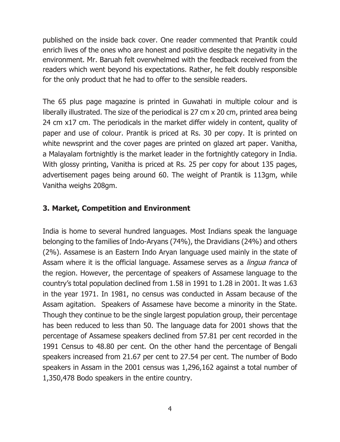published on the inside back cover. One reader commented that Prantik could enrich lives of the ones who are honest and positive despite the negativity in the environment. Mr. Baruah felt overwhelmed with the feedback received from the readers which went beyond his expectations. Rather, he felt doubly responsible for the only product that he had to offer to the sensible readers.

The 65 plus page magazine is printed in Guwahati in multiple colour and is liberally illustrated. The size of the periodical is 27 cm x 20 cm, printed area being 24 cm x17 cm. The periodicals in the market differ widely in content, quality of paper and use of colour. Prantik is priced at Rs. 30 per copy. It is printed on white newsprint and the cover pages are printed on glazed art paper. Vanitha, a Malayalam fortnightly is the market leader in the fortnightly category in India. With glossy printing, Vanitha is priced at Rs. 25 per copy for about 135 pages, advertisement pages being around 60. The weight of Prantik is 113gm, while Vanitha weighs 208gm.

## **3. Market, Competition and Environment**

India is home to several hundred languages. Most Indians speak the language belonging to the families of Indo-Aryans (74%), the Dravidians (24%) and others (2%). Assamese is an Eastern Indo Aryan language used mainly in the state of Assam where it is the official language. Assamese serves as a *lingua franca* of the region. However, the percentage of speakers of Assamese language to the country's total population declined from 1.58 in 1991 to 1.28 in 2001. It was 1.63 in the year 1971. In 1981, no census was conducted in Assam because of the Assam agitation. Speakers of Assamese have become a minority in the State. Though they continue to be the single largest population group, their percentage has been reduced to less than 50. The language data for 2001 shows that the percentage of Assamese speakers declined from 57.81 per cent recorded in the 1991 Census to 48.80 per cent. On the other hand the percentage of Bengali speakers increased from 21.67 per cent to 27.54 per cent. The number of Bodo speakers in Assam in the 2001 census was 1,296,162 against a total number of 1,350,478 Bodo speakers in the entire country.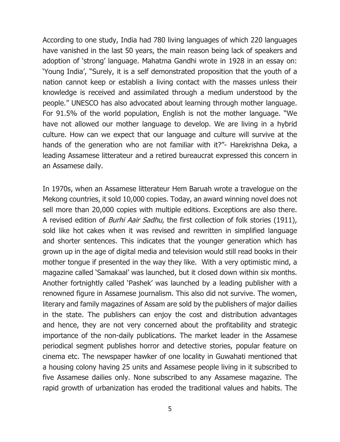According to one study, India had 780 living languages of which 220 languages have vanished in the last 50 years, the main reason being lack of speakers and adoption of 'strong' language. Mahatma Gandhi wrote in 1928 in an essay on: 'Young India', "Surely, it is a self demonstrated proposition that the youth of a nation cannot keep or establish a living contact with the masses unless their knowledge is received and assimilated through a medium understood by the people." UNESCO has also advocated about learning through mother language. For 91.5% of the world population, English is not the mother language. "We have not allowed our mother language to develop. We are living in a hybrid culture. How can we expect that our language and culture will survive at the hands of the generation who are not familiar with it?"- Harekrishna Deka, a leading Assamese litterateur and a retired bureaucrat expressed this concern in an Assamese daily.

In 1970s, when an Assamese litterateur Hem Baruah wrote a travelogue on the Mekong countries, it sold 10,000 copies. Today, an award winning novel does not sell more than 20,000 copies with multiple editions. Exceptions are also there. A revised edition of *Burhi Aair Sadhu*, the first collection of folk stories (1911), sold like hot cakes when it was revised and rewritten in simplified language and shorter sentences. This indicates that the younger generation which has grown up in the age of digital media and television would still read books in their mother tongue if presented in the way they like. With a very optimistic mind, a magazine called 'Samakaal' was launched, but it closed down within six months. Another fortnightly called 'Pashek' was launched by a leading publisher with a renowned figure in Assamese journalism. This also did not survive. The women, literary and family magazines of Assam are sold by the publishers of major dailies in the state. The publishers can enjoy the cost and distribution advantages and hence, they are not very concerned about the profitability and strategic importance of the non-daily publications. The market leader in the Assamese periodical segment publishes horror and detective stories, popular feature on cinema etc. The newspaper hawker of one locality in Guwahati mentioned that a housing colony having 25 units and Assamese people living in it subscribed to five Assamese dailies only. None subscribed to any Assamese magazine. The rapid growth of urbanization has eroded the traditional values and habits. The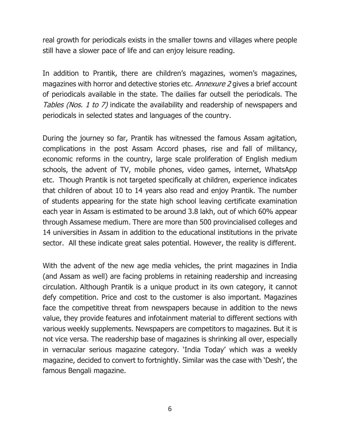real growth for periodicals exists in the smaller towns and villages where people still have a slower pace of life and can enjoy leisure reading.

In addition to Prantik, there are children's magazines, women's magazines, magazines with horror and detective stories etc. Annexure 2 gives a brief account of periodicals available in the state. The dailies far outsell the periodicals. The Tables (Nos. 1 to 7) indicate the availability and readership of newspapers and periodicals in selected states and languages of the country.

During the journey so far, Prantik has witnessed the famous Assam agitation, complications in the post Assam Accord phases, rise and fall of militancy, economic reforms in the country, large scale proliferation of English medium schools, the advent of TV, mobile phones, video games, internet, WhatsApp etc. Though Prantik is not targeted specifically at children, experience indicates that children of about 10 to 14 years also read and enjoy Prantik. The number of students appearing for the state high school leaving certificate examination each year in Assam is estimated to be around 3.8 lakh, out of which 60% appear through Assamese medium. There are more than 500 provincialised colleges and 14 universities in Assam in addition to the educational institutions in the private sector. All these indicate great sales potential. However, the reality is different.

With the advent of the new age media vehicles, the print magazines in India (and Assam as well) are facing problems in retaining readership and increasing circulation. Although Prantik is a unique product in its own category, it cannot defy competition. Price and cost to the customer is also important. Magazines face the competitive threat from newspapers because in addition to the news value, they provide features and infotainment material to different sections with various weekly supplements. Newspapers are competitors to magazines. But it is not vice versa. The readership base of magazines is shrinking all over, especially in vernacular serious magazine category. 'India Today' which was a weekly magazine, decided to convert to fortnightly. Similar was the case with 'Desh', the famous Bengali magazine.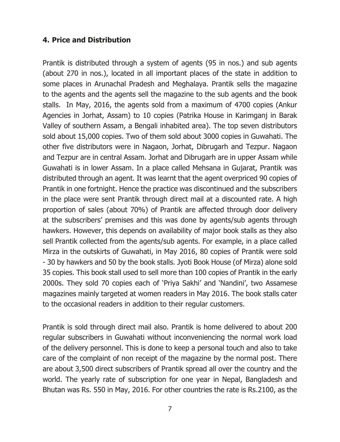## **4. Price and Distribution**

Prantik is distributed through a system of agents (95 in nos.) and sub agents (about 270 in nos.), located in all important places of the state in addition to some places in Arunachal Pradesh and Meghalaya. Prantik sells the magazine to the agents and the agents sell the magazine to the sub agents and the book stalls. In May, 2016, the agents sold from a maximum of 4700 copies (Ankur Agencies in Jorhat, Assam) to 10 copies (Patrika House in Karimganj in Barak Valley of southern Assam, a Bengali inhabited area). The top seven distributors sold about 15,000 copies. Two of them sold about 3000 copies in Guwahati. The other five distributors were in Nagaon, Jorhat, Dibrugarh and Tezpur. Nagaon and Tezpur are in central Assam. Jorhat and Dibrugarh are in upper Assam while Guwahati is in lower Assam. In a place called Mehsana in Gujarat, Prantik was distributed through an agent. It was learnt that the agent overpriced 90 copies of Prantik in one fortnight. Hence the practice was discontinued and the subscribers in the place were sent Prantik through direct mail at a discounted rate. A high proportion of sales (about 70%) of Prantik are affected through door delivery at the subscribers' premises and this was done by agents/sub agents through hawkers. However, this depends on availability of major book stalls as they also sell Prantik collected from the agents/sub agents. For example, in a place called Mirza in the outskirts of Guwahati, in May 2016, 80 copies of Prantik were sold - 30 by hawkers and 50 by the book stalls. Jyoti Book House (of Mirza) alone sold 35 copies. This book stall used to sell more than 100 copies of Prantik in the early 2000s. They sold 70 copies each of 'Priya Sakhi' and 'Nandini', two Assamese magazines mainly targeted at women readers in May 2016. The book stalls cater to the occasional readers in addition to their regular customers.

Prantik is sold through direct mail also. Prantik is home delivered to about 200 regular subscribers in Guwahati without inconveniencing the normal work load of the delivery personnel. This is done to keep a personal touch and also to take care of the complaint of non receipt of the magazine by the normal post. There are about 3,500 direct subscribers of Prantik spread all over the country and the world. The yearly rate of subscription for one year in Nepal, Bangladesh and Bhutan was Rs. 550 in May, 2016. For other countries the rate is Rs.2100, as the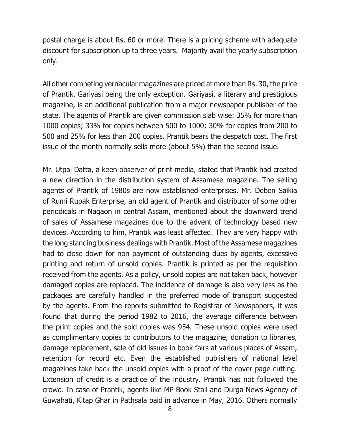postal charge is about Rs. 60 or more. There is a pricing scheme with adequate discount for subscription up to three years. Majority avail the yearly subscription only.

All other competing vernacular magazines are priced at more than Rs. 30, the price of Prantik, Gariyasi being the only exception. Gariyasi, a literary and prestigious magazine, is an additional publication from a major newspaper publisher of the state. The agents of Prantik are given commission slab wise: 35% for more than 1000 copies; 33% for copies between 500 to 1000; 30% for copies from 200 to 500 and 25% for less than 200 copies. Prantik bears the despatch cost. The first issue of the month normally sells more (about 5%) than the second issue.

Mr. Utpal Datta, a keen observer of print media, stated that Prantik had created a new direction in the distribution system of Assamese magazine. The selling agents of Prantik of 1980s are now established enterprises. Mr. Deben Saikia of Rumi Rupak Enterprise, an old agent of Prantik and distributor of some other periodicals in Nagaon in central Assam, mentioned about the downward trend of sales of Assamese magazines due to the advent of technology based new devices. According to him, Prantik was least affected. They are very happy with the long standing business dealings with Prantik. Most of the Assamese magazines had to close down for non payment of outstanding dues by agents, excessive printing and return of unsold copies. Prantik is printed as per the requisition received from the agents. As a policy, unsold copies are not taken back, however damaged copies are replaced. The incidence of damage is also very less as the packages are carefully handled in the preferred mode of transport suggested by the agents. From the reports submitted to Registrar of Newspapers, it was found that during the period 1982 to 2016, the average difference between the print copies and the sold copies was 954. These unsold copies were used as complimentary copies to contributors to the magazine, donation to libraries, damage replacement, sale of old issues in book fairs at various places of Assam, retention for record etc. Even the established publishers of national level magazines take back the unsold copies with a proof of the cover page cutting. Extension of credit is a practice of the industry. Prantik has not followed the crowd. In case of Prantik, agents like MP Book Stall and Durga News Agency of Guwahati, Kitap Ghar in Pathsala paid in advance in May, 2016. Others normally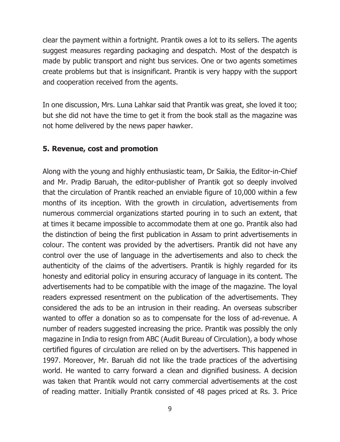clear the payment within a fortnight. Prantik owes a lot to its sellers. The agents suggest measures regarding packaging and despatch. Most of the despatch is made by public transport and night bus services. One or two agents sometimes create problems but that is insignificant. Prantik is very happy with the support and cooperation received from the agents.

In one discussion, Mrs. Luna Lahkar said that Prantik was great, she loved it too; but she did not have the time to get it from the book stall as the magazine was not home delivered by the news paper hawker.

## **5. Revenue, cost and promotion**

Along with the young and highly enthusiastic team, Dr Saikia, the Editor-in-Chief and Mr. Pradip Baruah, the editor-publisher of Prantik got so deeply involved that the circulation of Prantik reached an enviable figure of 10,000 within a few months of its inception. With the growth in circulation, advertisements from numerous commercial organizations started pouring in to such an extent, that at times it became impossible to accommodate them at one go. Prantik also had the distinction of being the first publication in Assam to print advertisements in colour. The content was provided by the advertisers. Prantik did not have any control over the use of language in the advertisements and also to check the authenticity of the claims of the advertisers. Prantik is highly regarded for its honesty and editorial policy in ensuring accuracy of language in its content. The advertisements had to be compatible with the image of the magazine. The loyal readers expressed resentment on the publication of the advertisements. They considered the ads to be an intrusion in their reading. An overseas subscriber wanted to offer a donation so as to compensate for the loss of ad-revenue. A number of readers suggested increasing the price. Prantik was possibly the only magazine in India to resign from ABC (Audit Bureau of Circulation), a body whose certified figures of circulation are relied on by the advertisers. This happened in 1997. Moreover, Mr. Baruah did not like the trade practices of the advertising world. He wanted to carry forward a clean and dignified business. A decision was taken that Prantik would not carry commercial advertisements at the cost of reading matter. Initially Prantik consisted of 48 pages priced at Rs. 3. Price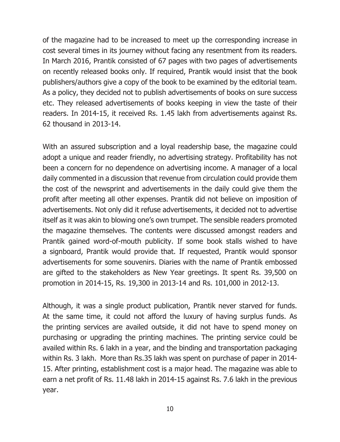of the magazine had to be increased to meet up the corresponding increase in cost several times in its journey without facing any resentment from its readers. In March 2016, Prantik consisted of 67 pages with two pages of advertisements on recently released books only. If required, Prantik would insist that the book publishers/authors give a copy of the book to be examined by the editorial team. As a policy, they decided not to publish advertisements of books on sure success etc. They released advertisements of books keeping in view the taste of their readers. In 2014-15, it received Rs. 1.45 lakh from advertisements against Rs. 62 thousand in 2013-14.

With an assured subscription and a loyal readership base, the magazine could adopt a unique and reader friendly, no advertising strategy. Profitability has not been a concern for no dependence on advertising income. A manager of a local daily commented in a discussion that revenue from circulation could provide them the cost of the newsprint and advertisements in the daily could give them the profit after meeting all other expenses. Prantik did not believe on imposition of advertisements. Not only did it refuse advertisements, it decided not to advertise itself as it was akin to blowing one's own trumpet. The sensible readers promoted the magazine themselves. The contents were discussed amongst readers and Prantik gained word-of-mouth publicity. If some book stalls wished to have a signboard, Prantik would provide that. If requested, Prantik would sponsor advertisements for some souvenirs. Diaries with the name of Prantik embossed are gifted to the stakeholders as New Year greetings. It spent Rs. 39,500 on promotion in 2014-15, Rs. 19,300 in 2013-14 and Rs. 101,000 in 2012-13.

Although, it was a single product publication, Prantik never starved for funds. At the same time, it could not afford the luxury of having surplus funds. As the printing services are availed outside, it did not have to spend money on purchasing or upgrading the printing machines. The printing service could be availed within Rs. 6 lakh in a year, and the binding and transportation packaging within Rs. 3 lakh. More than Rs.35 lakh was spent on purchase of paper in 2014- 15. After printing, establishment cost is a major head. The magazine was able to earn a net profit of Rs. 11.48 lakh in 2014-15 against Rs. 7.6 lakh in the previous year.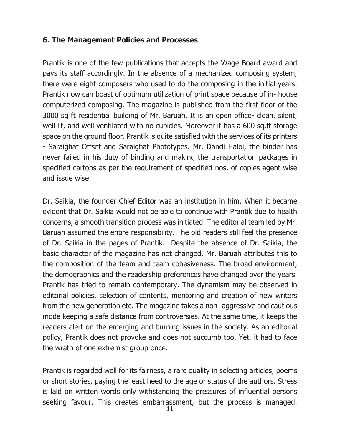### **6. The Management Policies and Processes**

Prantik is one of the few publications that accepts the Wage Board award and pays its staff accordingly. In the absence of a mechanized composing system, there were eight composers who used to do the composing in the initial years. Prantik now can boast of optimum utilization of print space because of in- house computerized composing. The magazine is published from the first floor of the 3000 sq ft residential building of Mr. Baruah. It is an open office- clean, silent, well lit, and well ventilated with no cubicles. Moreover it has a 600 sq.ft storage space on the ground floor. Prantik is quite satisfied with the services of its printers - Saraighat Offset and Saraighat Phototypes. Mr. Dandi Haloi, the binder has never failed in his duty of binding and making the transportation packages in specified cartons as per the requirement of specified nos. of copies agent wise and issue wise.

Dr. Saikia, the founder Chief Editor was an institution in him. When it became evident that Dr. Saikia would not be able to continue with Prantik due to health concerns, a smooth transition process was initiated. The editorial team led by Mr. Baruah assumed the entire responsibility. The old readers still feel the presence of Dr. Saikia in the pages of Prantik. Despite the absence of Dr. Saikia, the basic character of the magazine has not changed. Mr. Baruah attributes this to the composition of the team and team cohesiveness. The broad environment, the demographics and the readership preferences have changed over the years. Prantik has tried to remain contemporary. The dynamism may be observed in editorial policies, selection of contents, mentoring and creation of new writers from the new generation etc. The magazine takes a non- aggressive and cautious mode keeping a safe distance from controversies. At the same time, it keeps the readers alert on the emerging and burning issues in the society. As an editorial policy, Prantik does not provoke and does not succumb too. Yet, it had to face the wrath of one extremist group once.

Prantik is regarded well for its fairness, a rare quality in selecting articles, poems or short stories, paying the least heed to the age or status of the authors. Stress is laid on written words only withstanding the pressures of influential persons seeking favour. This creates embarrassment, but the process is managed.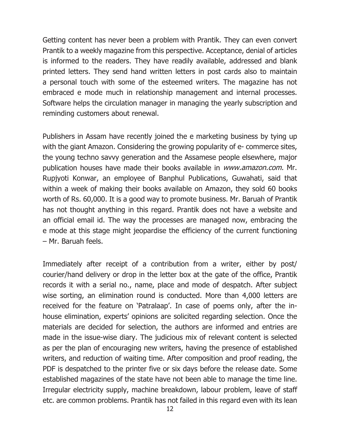Getting content has never been a problem with Prantik. They can even convert Prantik to a weekly magazine from this perspective. Acceptance, denial of articles is informed to the readers. They have readily available, addressed and blank printed letters. They send hand written letters in post cards also to maintain a personal touch with some of the esteemed writers. The magazine has not embraced e mode much in relationship management and internal processes. Software helps the circulation manager in managing the yearly subscription and reminding customers about renewal.

Publishers in Assam have recently joined the e marketing business by tying up with the giant Amazon. Considering the growing popularity of e- commerce sites, the young techno savvy generation and the Assamese people elsewhere, major publication houses have made their books available in www.amazon.com. Mr. Rupjyoti Konwar, an employee of Banphul Publications, Guwahati, said that within a week of making their books available on Amazon, they sold 60 books worth of Rs. 60,000. It is a good way to promote business. Mr. Baruah of Prantik has not thought anything in this regard. Prantik does not have a website and an official email id. The way the processes are managed now, embracing the e mode at this stage might jeopardise the efficiency of the current functioning – Mr. Baruah feels.

Immediately after receipt of a contribution from a writer, either by post/ courier/hand delivery or drop in the letter box at the gate of the office, Prantik records it with a serial no., name, place and mode of despatch. After subject wise sorting, an elimination round is conducted. More than 4,000 letters are received for the feature on 'Patralaap'. In case of poems only, after the inhouse elimination, experts' opinions are solicited regarding selection. Once the materials are decided for selection, the authors are informed and entries are made in the issue-wise diary. The judicious mix of relevant content is selected as per the plan of encouraging new writers, having the presence of established writers, and reduction of waiting time. After composition and proof reading, the PDF is despatched to the printer five or six days before the release date. Some established magazines of the state have not been able to manage the time line. Irregular electricity supply, machine breakdown, labour problem, leave of staff etc. are common problems. Prantik has not failed in this regard even with its lean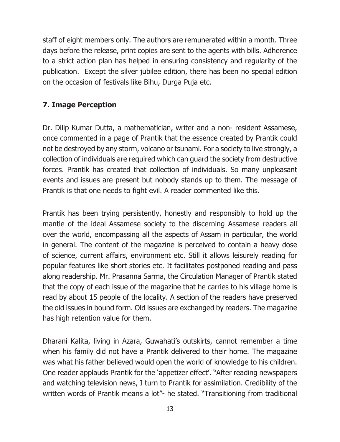staff of eight members only. The authors are remunerated within a month. Three days before the release, print copies are sent to the agents with bills. Adherence to a strict action plan has helped in ensuring consistency and regularity of the publication. Except the silver jubilee edition, there has been no special edition on the occasion of festivals like Bihu, Durga Puja etc.

# **7. Image Perception**

Dr. Dilip Kumar Dutta, a mathematician, writer and a non- resident Assamese, once commented in a page of Prantik that the essence created by Prantik could not be destroyed by any storm, volcano or tsunami. For a society to live strongly, a collection of individuals are required which can guard the society from destructive forces. Prantik has created that collection of individuals. So many unpleasant events and issues are present but nobody stands up to them. The message of Prantik is that one needs to fight evil. A reader commented like this.

Prantik has been trying persistently, honestly and responsibly to hold up the mantle of the ideal Assamese society to the discerning Assamese readers all over the world, encompassing all the aspects of Assam in particular, the world in general. The content of the magazine is perceived to contain a heavy dose of science, current affairs, environment etc. Still it allows leisurely reading for popular features like short stories etc. It facilitates postponed reading and pass along readership. Mr. Prasanna Sarma, the Circulation Manager of Prantik stated that the copy of each issue of the magazine that he carries to his village home is read by about 15 people of the locality. A section of the readers have preserved the old issues in bound form. Old issues are exchanged by readers. The magazine has high retention value for them.

Dharani Kalita, living in Azara, Guwahati's outskirts, cannot remember a time when his family did not have a Prantik delivered to their home. The magazine was what his father believed would open the world of knowledge to his children. One reader applauds Prantik for the 'appetizer effect'. "After reading newspapers and watching television news, I turn to Prantik for assimilation. Credibility of the written words of Prantik means a lot"- he stated. "Transitioning from traditional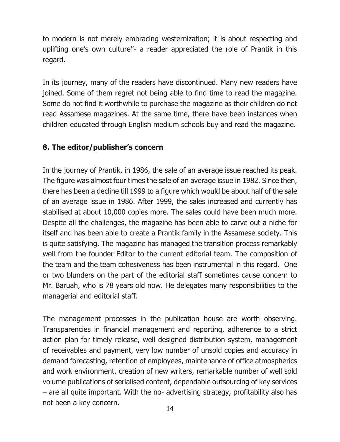to modern is not merely embracing westernization; it is about respecting and uplifting one's own culture''- a reader appreciated the role of Prantik in this regard.

In its journey, many of the readers have discontinued. Many new readers have joined. Some of them regret not being able to find time to read the magazine. Some do not find it worthwhile to purchase the magazine as their children do not read Assamese magazines. At the same time, there have been instances when children educated through English medium schools buy and read the magazine.

## **8. The editor/publisher's concern**

In the journey of Prantik, in 1986, the sale of an average issue reached its peak. The figure was almost four times the sale of an average issue in 1982. Since then, there has been a decline till 1999 to a figure which would be about half of the sale of an average issue in 1986. After 1999, the sales increased and currently has stabilised at about 10,000 copies more. The sales could have been much more. Despite all the challenges, the magazine has been able to carve out a niche for itself and has been able to create a Prantik family in the Assamese society. This is quite satisfying. The magazine has managed the transition process remarkably well from the founder Editor to the current editorial team. The composition of the team and the team cohesiveness has been instrumental in this regard. One or two blunders on the part of the editorial staff sometimes cause concern to Mr. Baruah, who is 78 years old now. He delegates many responsibilities to the managerial and editorial staff.

The management processes in the publication house are worth observing. Transparencies in financial management and reporting, adherence to a strict action plan for timely release, well designed distribution system, management of receivables and payment, very low number of unsold copies and accuracy in demand forecasting, retention of employees, maintenance of office atmospherics and work environment, creation of new writers, remarkable number of well sold volume publications of serialised content, dependable outsourcing of key services – are all quite important. With the no- advertising strategy, profitability also has not been a key concern.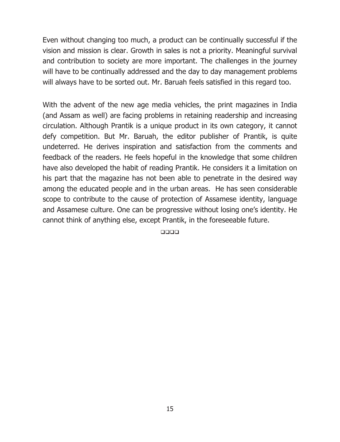Even without changing too much, a product can be continually successful if the vision and mission is clear. Growth in sales is not a priority. Meaningful survival and contribution to society are more important. The challenges in the journey will have to be continually addressed and the day to day management problems will always have to be sorted out. Mr. Baruah feels satisfied in this regard too.

With the advent of the new age media vehicles, the print magazines in India (and Assam as well) are facing problems in retaining readership and increasing circulation. Although Prantik is a unique product in its own category, it cannot defy competition. But Mr. Baruah, the editor publisher of Prantik, is quite undeterred. He derives inspiration and satisfaction from the comments and feedback of the readers. He feels hopeful in the knowledge that some children have also developed the habit of reading Prantik. He considers it a limitation on his part that the magazine has not been able to penetrate in the desired way among the educated people and in the urban areas. He has seen considerable scope to contribute to the cause of protection of Assamese identity, language and Assamese culture. One can be progressive without losing one's identity. He cannot think of anything else, except Prantik, in the foreseeable future.

 $\Box$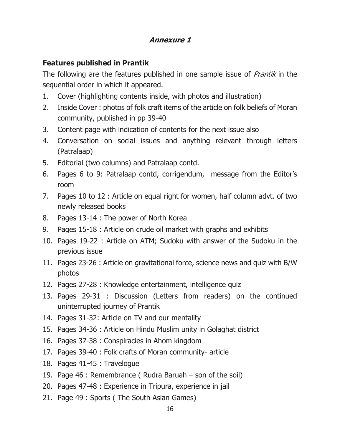## **Annexure 1**

# **Features published in Prantik**

The following are the features published in one sample issue of *Prantik* in the sequential order in which it appeared.

- 1. Cover (highlighting contents inside, with photos and illustration)
- 2. Inside Cover: photos of folk craft items of the article on folk beliefs of Moran community, published in pp 39-40
- 3. Content page with indication of contents for the next issue also
- 4. Conversation on social issues and anything relevant through letters (Patralaap)
- 5. Editorial (two columns) and Patralaap contd.
- 6. Pages 6 to 9: Patralaap contd, corrigendum, message from the Editor's room
- 7. Pages 10 to 12 : Article on equal right for women, half column advt. of two newly released books
- 8. Pages 13-14 : The power of North Korea
- 9. Pages 15-18 : Article on crude oil market with graphs and exhibits
- 10. Pages 19-22 : Article on ATM; Sudoku with answer of the Sudoku in the previous issue
- 11. Pages 23-26 : Article on gravitational force, science news and quiz with B/W photos
- 12. Pages 27-28 : Knowledge entertainment, intelligence quiz
- 13. Pages 29-31 : Discussion (Letters from readers) on the continued uninterrupted journey of Prantik
- 14. Pages 31-32: Article on TV and our mentality
- 15. Pages 34-36 : Article on Hindu Muslim unity in Golaghat district
- 16. Pages 37-38 : Conspiracies in Ahom kingdom
- 17. Pages 39-40 : Folk crafts of Moran community- article
- 18. Pages 41-45 : Travelogue
- 19. Page 46 : Remembrance ( Rudra Baruah son of the soil)
- 20. Pages 47-48 : Experience in Tripura, experience in jail
- 21. Page 49 : Sports (The South Asian Games)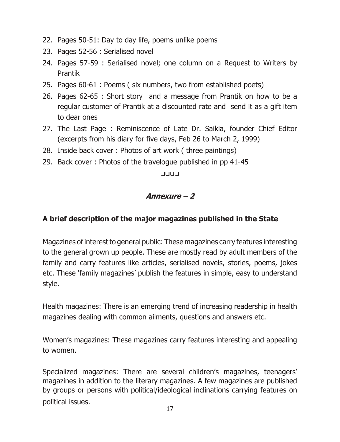- 22. Pages 50-51: Day to day life, poems unlike poems
- 23. Pages 52-56 : Serialised novel
- 24. Pages 57-59 : Serialised novel; one column on a Request to Writers by Prantik
- 25. Pages 60-61 : Poems ( six numbers, two from established poets)
- 26. Pages 62-65 : Short story and a message from Prantik on how to be a regular customer of Prantik at a discounted rate and send it as a gift item to dear ones
- 27. The Last Page : Reminiscence of Late Dr. Saikia, founder Chief Editor (excerpts from his diary for five days, Feb 26 to March 2, 1999)
- 28. Inside back cover : Photos of art work (three paintings)
- 29. Back cover: Photos of the travelogue published in pp 41-45

 $\Box$ 

## **Annexure – 2**

## **A brief description of the major magazines published in the State**

Magazines of interest to general public: These magazines carry features interesting to the general grown up people. These are mostly read by adult members of the family and carry features like articles, serialised novels, stories, poems, jokes etc. These 'family magazines' publish the features in simple, easy to understand style.

Health magazines: There is an emerging trend of increasing readership in health magazines dealing with common ailments, questions and answers etc.

Women's magazines: These magazines carry features interesting and appealing to women.

Specialized magazines: There are several children's magazines, teenagers' magazines in addition to the literary magazines. A few magazines are published by groups or persons with political/ideological inclinations carrying features on political issues.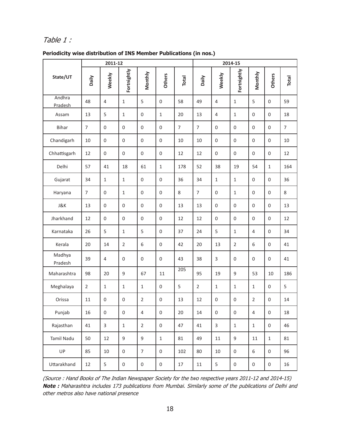## Table 1 :

|                   | 2011-12        |                  |                  |                |               | 2014-15 |                |              |                |                |                  |                |
|-------------------|----------------|------------------|------------------|----------------|---------------|---------|----------------|--------------|----------------|----------------|------------------|----------------|
| State/UT          | Daily          | Weekly           | Fortnightly      | Monthly        | <b>Others</b> | Total   | Daily          | Weekly       | Fortnightly    | Monthly        | <b>Others</b>    | Total          |
| Andhra<br>Pradesh | 48             | 4                | $\mathbf{1}$     | 5              | $\mathbf 0$   | 58      | 49             | 4            | $1\,$          | 5              | $\mathbf 0$      | 59             |
| Assam             | 13             | 5                | $\mathbf{1}$     | 0              | $\mathbf 1$   | 20      | 13             | 4            | $1\,$          | 0              | $\mathbf 0$      | 18             |
| Bihar             | $\overline{7}$ | $\boldsymbol{0}$ | 0                | 0              | $\mathbf 0$   | 7       | $\overline{7}$ | 0            | $\mathbf 0$    | 0              | $\mathbf 0$      | $\overline{7}$ |
| Chandigarh        | 10             | $\mathbf 0$      | $\boldsymbol{0}$ | $\overline{0}$ | $\mathbf 0$   | 10      | 10             | $\mathbf 0$  | $\mathbf 0$    | 0              | $\mathbf{0}$     | 10             |
| Chhattisgarh      | 12             | $\boldsymbol{0}$ | $\boldsymbol{0}$ | 0              | $\mathbf 0$   | 12      | 12             | 0            | 0              | 0              | $\mathbf 0$      | 12             |
| Delhi             | 57             | 41               | 18               | 61             | $\mathbf{1}$  | 178     | 52             | 38           | 19             | 54             | $\mathbf{1}$     | 164            |
| Gujarat           | 34             | $\mathbf{1}$     | $\mathbf{1}$     | 0              | $\mathbf 0$   | 36      | 34             | $\mathbf{1}$ | $\mathbf{1}$   | 0              | $\mathbf{0}$     | 36             |
| Haryana           | $\overline{7}$ | $\mathbf 0$      | $\mathbf{1}$     | 0              | $\mathbf{0}$  | 8       | $\overline{7}$ | 0            | $\mathbf{1}$   | 0              | $\mathbf{0}$     | 8              |
| J&K               | 13             | $\boldsymbol{0}$ | 0                | 0              | $\mathbf 0$   | 13      | 13             | 0            | 0              | 0              | $\boldsymbol{0}$ | 13             |
| Jharkhand         | 12             | $\boldsymbol{0}$ | 0                | 0              | $\mathbf 0$   | 12      | 12             | $\mathbf 0$  | $\mathbf 0$    | 0              | $\mathbf{0}$     | 12             |
| Karnataka         | 26             | 5                | $\mathbf{1}$     | 5              | $\mathbf 0$   | 37      | 24             | 5            | $\mathbf{1}$   | 4              | $\Omega$         | 34             |
| Kerala            | 20             | 14               | $\overline{2}$   | 6              | $\mathbf 0$   | 42      | 20             | 13           | $\overline{2}$ | 6              | $\mathbf 0$      | 41             |
| Madhya<br>Pradesh | 39             | 4                | $\mathbf 0$      | 0              | $\mathbf{0}$  | 43      | 38             | 3            | $\mathbf 0$    | 0              | $\mathbf{0}$     | 41             |
| Maharashtra       | 98             | 20               | 9                | 67             | 11            | 205     | 95             | 19           | 9              | 53             | 10               | 186            |
| Meghalaya         | $\overline{2}$ | $1\,$            | $\mathbf{1}$     | $\mathbf{1}$   | $\mathbf 0$   | 5       | $\overline{2}$ | $\mathbf{1}$ | $\mathbf{1}$   | $\mathbf{1}$   | $\mathbf 0$      | 5              |
| Orissa            | 11             | $\mathbf 0$      | $\boldsymbol{0}$ | $\overline{2}$ | $\mathbf{0}$  | 13      | 12             | $\mathbf 0$  | $\mathbf 0$    | $\overline{2}$ | $\mathbf{0}$     | 14             |
| Punjab            | 16             | $\boldsymbol{0}$ | $\mathbf 0$      | 4              | $\mathbf{0}$  | 20      | 14             | 0            | $\mathbf 0$    | 4              | $\mathbf{0}$     | 18             |
| Rajasthan         | 41             | 3                | $\mathbf{1}$     | $\overline{2}$ | $\mathbf{0}$  | 47      | 41             | 3            | $\mathbf{1}$   | $\mathbf{1}$   | $\mathbf{0}$     | 46             |
| Tamil Nadu        | 50             | 12               | 9                | 9              | $\mathbf 1$   | 81      | 49             | 11           | 9              | 11             | $\mathbf 1$      | 81             |
| UP                | 85             | 10               | 0                | 7              | $\mathbf 0$   | 102     | 80             | 10           | 0              | 6              | $\boldsymbol{0}$ | 96             |
| Uttarakhand       | 12             | 5                | $\boldsymbol{0}$ | 0              | $\mathbf 0$   | 17      | 11             | 5            | $\mathbf 0$    | 0              | $\mathbf 0$      | 16             |

#### **Periodicity wise distribution of INS Member Publications (in nos.)**

(Source : Hand Books of The Indian Newspaper Society for the two respective years 2011-12 and 2014-15) **Note :** Maharashtra includes 173 publications from Mumbai. Similarly some of the publications of Delhi and othe<sup>r</sup> metros also have national presence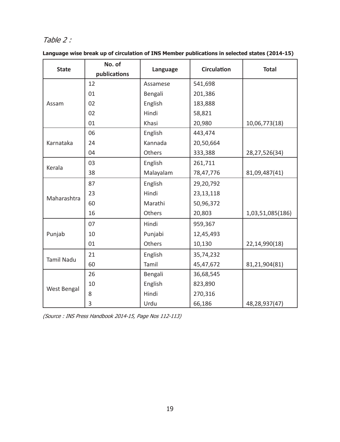# Table 2 :

| <b>State</b>      | No. of<br>publications | Language  | <b>Circulation</b> | <b>Total</b>     |
|-------------------|------------------------|-----------|--------------------|------------------|
|                   | 12                     | Assamese  | 541,698            |                  |
|                   | 01                     | Bengali   | 201,386            |                  |
| Assam             | 02                     | English   | 183,888            |                  |
|                   | 02                     | Hindi     | 58,821             |                  |
|                   | 01                     | Khasi     | 20,980             | 10,06,773(18)    |
|                   | 06                     | English   | 443,474            |                  |
| Karnataka         | 24                     | Kannada   | 20,50,664          |                  |
|                   | 04                     | Others    | 333,388            | 28,27,526(34)    |
| Kerala            | 03                     | English   | 261,711            |                  |
|                   | 38                     | Malayalam | 78,47,776          | 81,09,487(41)    |
|                   | 87                     | English   | 29,20,792          |                  |
| Maharashtra       | 23                     | Hindi     | 23, 13, 118        |                  |
|                   | 60                     | Marathi   | 50,96,372          |                  |
|                   | 16                     | Others    | 20,803             | 1,03,51,085(186) |
|                   | 07                     | Hindi     | 959,367            |                  |
| Punjab            | 10                     | Punjabi   | 12,45,493          |                  |
|                   | 01                     | Others    | 10,130             | 22,14,990(18)    |
|                   | 21                     | English   | 35,74,232          |                  |
| <b>Tamil Nadu</b> | 60                     | Tamil     | 45,47,672          | 81,21,904(81)    |
|                   | 26                     | Bengali   | 36,68,545          |                  |
|                   | 10                     | English   | 823,890            |                  |
| West Bengal       | 8                      | Hindi     | 270,316            |                  |
|                   | 3                      | Urdu      | 66,186             | 48,28,937(47)    |

|  | Language wise break up of circulation of INS Member publications in selected states (2014-15) |  |
|--|-----------------------------------------------------------------------------------------------|--|
|  |                                                                                               |  |
|  |                                                                                               |  |

(Source : INS Press Handbook 2014-15, Page Nos 112-113)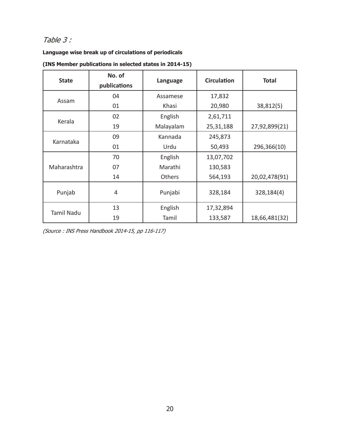# Table 3 :

#### **Language wise break up of circulations of periodicals**

| <b>State</b> | No. of<br>publications | Language      | <b>Circulation</b> | <b>Total</b>  |
|--------------|------------------------|---------------|--------------------|---------------|
|              | 04                     | Assamese      | 17,832             |               |
| Assam        | 01                     | Khasi         | 20,980             | 38,812(5)     |
|              | 02                     | English       | 2,61,711           |               |
| Kerala       | 19                     | Malayalam     | 25,31,188          | 27,92,899(21) |
|              | 09                     | Kannada       | 245,873            |               |
| Karnataka    | 01                     | Urdu          | 50,493             | 296,366(10)   |
|              | 70                     | English       | 13,07,702          |               |
| Maharashtra  | 07                     | Marathi       | 130,583            |               |
|              | 14                     | <b>Others</b> | 564,193            | 20,02,478(91) |
| Punjab       | 4                      | Punjabi       | 328,184            | 328,184(4)    |
|              | 13                     | English       | 17,32,894          |               |
| Tamil Nadu   | 19                     | Tamil         | 133,587            | 18,66,481(32) |

(Source : INS Press Handbook 2014-15, pp 116-117)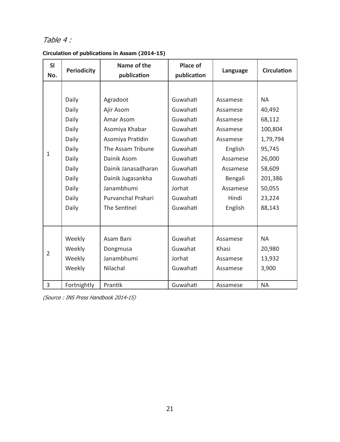# Table 4 :

| <b>SI</b><br>No. | Name of the<br><b>Periodicity</b><br>publication |                     | Place of<br>publication | Language | <b>Circulation</b> |
|------------------|--------------------------------------------------|---------------------|-------------------------|----------|--------------------|
|                  |                                                  |                     |                         |          |                    |
|                  | Daily                                            | Agradoot            | Guwahati                | Assamese | <b>NA</b>          |
|                  | Daily                                            | Ajir Asom           | Guwahati                | Assamese | 40,492             |
|                  | Daily                                            | Amar Asom           | Guwahati                | Assamese | 68,112             |
|                  | Daily                                            | Asomiya Khabar      | Guwahati                | Assamese | 100,804            |
|                  | Daily                                            | Asomiya Pratidin    | Guwahati                | Assamese | 1,79,794           |
| $\mathbf{1}$     | Daily                                            | The Assam Tribune   | Guwahati                | English  | 95,745             |
|                  | Daily                                            | Dainik Asom         | Guwahati                | Assamese | 26,000             |
|                  | Daily                                            | Dainik Janasadharan | Guwahati                | Assamese | 58,609             |
|                  | Daily                                            | Dainik Jugasankha   | Guwahati                | Bengali  | 201,386            |
|                  | Daily                                            | Janambhumi          | Jorhat                  | Assamese | 50,055             |
|                  | Daily                                            | Purvanchal Prahari  | Guwahati                | Hindi    | 23,224             |
|                  | Daily                                            | The Sentinel        | Guwahati                | English  | 88,143             |
|                  |                                                  |                     |                         |          |                    |
|                  |                                                  |                     |                         |          |                    |
|                  | Weekly                                           | Asam Bani           | Guwahat                 | Assamese | <b>NA</b>          |
| 2                | Weekly                                           | Dongmusa            | Guwahat                 | Khasi    | 20,980             |
|                  | Weekly                                           | Janambhumi          | Jorhat                  | Assamese | 13,932             |
|                  | Weekly                                           | Nilachal            | Guwahati                | Assamese | 3,900              |
| 3                | Fortnightly                                      | Prantik             | Guwahati                | Assamese | <b>NA</b>          |

**Circulation of publications in Assam (2014-15)**

(Source : INS Press Handbook 2014-15)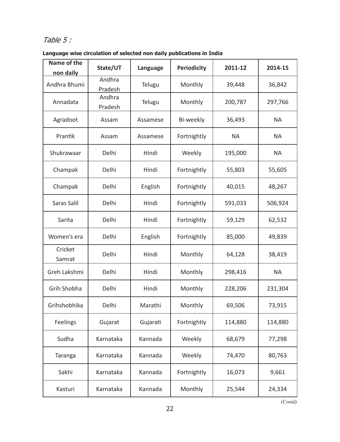# Table 5 :

**Language wise circulation of selected non daily publications in India**

| Name of the<br>non daily | State/UT          | Language | <b>Periodicity</b> | 2011-12   | 2014-15   |
|--------------------------|-------------------|----------|--------------------|-----------|-----------|
| Andhra Bhumi             | Andhra<br>Pradesh | Telugu   | Monthly            | 39,448    | 36,842    |
| Annadata                 | Andhra<br>Pradesh | Telugu   | Monthly            | 200,787   | 297,766   |
| Agradoot                 | Assam             | Assamese | Bi-weekly          | 36,493    | <b>NA</b> |
| Prantik                  | Assam             | Assamese | Fortnightly        | <b>NA</b> | <b>NA</b> |
| Shukrawaar               | Delhi             | Hindi    | Weekly             | 195,000   | <b>NA</b> |
| Champak                  | Delhi             | Hindi    | Fortnightly        | 55,803    | 55,605    |
| Champak                  | Delhi             | English  | Fortnightly        | 40,015    | 48,267    |
| Saras Salil              | Delhi             | Hindi    | Fortnightly        | 591,033   | 506,924   |
| Sarita                   | Delhi             | Hindi    | Fortnightly        | 59,129    | 62,532    |
| Women's era              | Delhi             | English  | Fortnightly        | 85,000    | 49,839    |
| Cricket<br>Samrat        | Delhi             | Hindi    | Monthly            | 64,128    | 38,419    |
| Greh Lakshmi             | Delhi             | Hindi    | Monthly            | 298,416   | <b>NA</b> |
| Grih Shobha              | Delhi             | Hindi    | Monthly            | 228,206   | 231,304   |
| Grihshobhika             | Delhi             | Marathi  | Monthly            | 69,506    | 73,915    |
| Feelings                 | Gujarat           | Gujarati | Fortnightly        | 114,880   | 114,880   |
| Sudha                    | Karnataka         | Kannada  | Weekly             | 68,679    | 77,298    |
| Taranga                  | Karnataka         | Kannada  | Weekly             | 74,470    | 80,763    |
| Sakhi                    | Karnataka         | Kannada  | Fortnightly        | 16,073    | 9,661     |
| Kasturi                  | Karnataka         | Kannada  | Monthly            | 25,544    | 24,334    |

*(Contd)*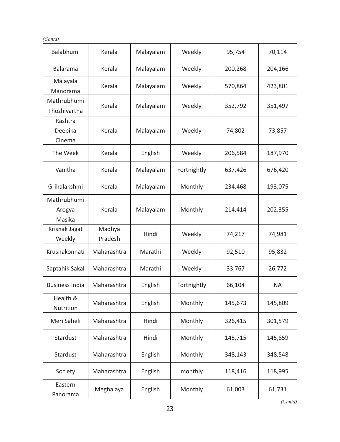| п |
|---|
|---|

| Balabhumi                       | Kerala            | Malayalam | Weekly      | 95,754  | 70,114    |
|---------------------------------|-------------------|-----------|-------------|---------|-----------|
| Balarama                        | Kerala            | Malayalam | Weekly      | 200,268 | 204,166   |
| Malayala<br>Manorama            | Kerala            | Malayalam | Weekly      | 570,864 | 423,801   |
| Mathrubhumi<br>Thozhivartha     | Kerala            | Malayalam | Weekly      | 352,792 | 351,497   |
| Rashtra<br>Deepika<br>Cinema    | Kerala            | Malayalam | Weekly      | 74,802  | 73,857    |
| The Week                        | Kerala            | English   | Weekly      | 206,584 | 187,970   |
| Vanitha                         | Kerala            | Malayalam | Fortnightly | 637,426 | 676,420   |
| Grihalakshmi                    | Kerala            | Malayalam | Monthly     | 234,468 | 193,075   |
| Mathrubhumi<br>Arogya<br>Masika | Kerala            | Malayalam | Monthly     | 214,414 | 202,355   |
| Krishak Jagat<br>Weekly         | Madhya<br>Pradesh | Hindi     | Weekly      | 74,217  | 74,981    |
| Krushakonnati                   | Maharashtra       | Marathi   | Weekly      | 92,510  | 95,832    |
| Saptahik Sakal                  | Maharashtra       | Marathi   | Weekly      | 33,767  | 26,772    |
| <b>Business India</b>           | Maharashtra       | English   | Fortnightly | 66,104  | <b>NA</b> |
| Health &<br>Nutrition           | Maharashtra       | English   | Monthly     | 145,673 | 145,809   |
| Meri Saheli                     | Maharashtra       | Hindi     | Monthly     | 326,415 | 301,579   |
| Stardust                        | Maharashtra       | Hindi     | Monthly     | 145,715 | 145,859   |
| Stardust                        | Maharashtra       | English   | Monthly     | 348,143 | 348,548   |
| Society                         | Maharashtra       | English   | monthly     | 118,416 | 118,995   |
| Eastern<br>Panorama             | Meghalaya         | English   | Monthly     | 61,003  | 61,731    |

*(Contd)*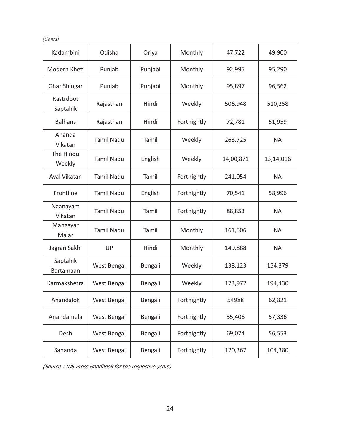*(Contd)*

| Kadambini             | Odisha             | Oriya   | Monthly     | 47,722    | 49.900    |
|-----------------------|--------------------|---------|-------------|-----------|-----------|
| Modern Kheti          | Punjab             | Punjabi | Monthly     | 92,995    | 95,290    |
| Ghar Shingar          | Punjab             | Punjabi | Monthly     | 95,897    | 96,562    |
| Rastrdoot<br>Saptahik | Rajasthan          | Hindi   | Weekly      | 506,948   | 510,258   |
| <b>Balhans</b>        | Rajasthan          | Hindi   | Fortnightly | 72,781    | 51,959    |
| Ananda<br>Vikatan     | <b>Tamil Nadu</b>  | Tamil   | Weekly      | 263,725   | NA.       |
| The Hindu<br>Weekly   | Tamil Nadu         | English | Weekly      | 14,00,871 | 13,14,016 |
| Aval Vikatan          | <b>Tamil Nadu</b>  | Tamil   | Fortnightly | 241,054   | <b>NA</b> |
| Frontline             | Tamil Nadu         | English | Fortnightly | 70,541    | 58,996    |
| Naanayam<br>Vikatan   | <b>Tamil Nadu</b>  | Tamil   | Fortnightly | 88,853    | <b>NA</b> |
| Mangayar<br>Malar     | <b>Tamil Nadu</b>  | Tamil   | Monthly     | 161,506   | <b>NA</b> |
| Jagran Sakhi          | UP                 | Hindi   | Monthly     | 149,888   | <b>NA</b> |
| Saptahik<br>Bartamaan | <b>West Bengal</b> | Bengali | Weekly      | 138,123   | 154,379   |
| Karmakshetra          | <b>West Bengal</b> | Bengali | Weekly      | 173,972   | 194,430   |
| Anandalok             | <b>West Bengal</b> | Bengali | Fortnightly | 54988     | 62,821    |
| Anandamela            | <b>West Bengal</b> | Bengali | Fortnightly | 55,406    | 57,336    |
| Desh                  | <b>West Bengal</b> | Bengali | Fortnightly | 69,074    | 56,553    |
| Sananda               | <b>West Bengal</b> | Bengali | Fortnightly | 120,367   | 104,380   |

(Source : INS Press Handbook for the respective years)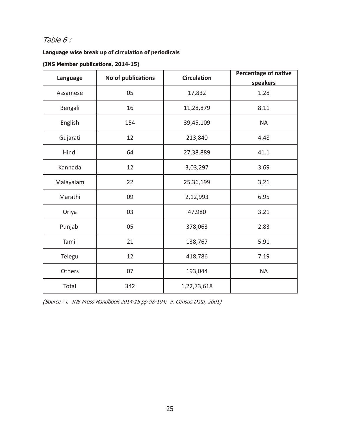# Table 6 :

#### **Language wise break up of circulation of periodicals**

#### **(INS Member publications, 2014-15)**

| Language  | No of publications | <b>Circulation</b> | <b>Percentage of native</b> |
|-----------|--------------------|--------------------|-----------------------------|
|           |                    |                    | speakers                    |
| Assamese  | 05                 | 17,832             | 1.28                        |
| Bengali   | 16                 | 11,28,879          | 8.11                        |
| English   | 154                | 39,45,109          | <b>NA</b>                   |
| Gujarati  | 12                 | 213,840            | 4.48                        |
| Hindi     | 64                 | 27,38.889          | 41.1                        |
| Kannada   | 12                 | 3,03,297           | 3.69                        |
| Malayalam | 22                 | 25,36,199          | 3.21                        |
| Marathi   | 09                 | 2,12,993           | 6.95                        |
| Oriya     | 03                 | 47,980             | 3.21                        |
| Punjabi   | 05                 | 378,063            | 2.83                        |
| Tamil     | 21                 | 138,767            | 5.91                        |
| Telegu    | 12                 | 418,786            | 7.19                        |
| Others    | 07                 | 193,044            | <b>NA</b>                   |
| Total     | 342                | 1,22,73,618        |                             |

(Source : i. INS Press Handbook 2014-15 pp 98-104; ii. Census Data, 2001)